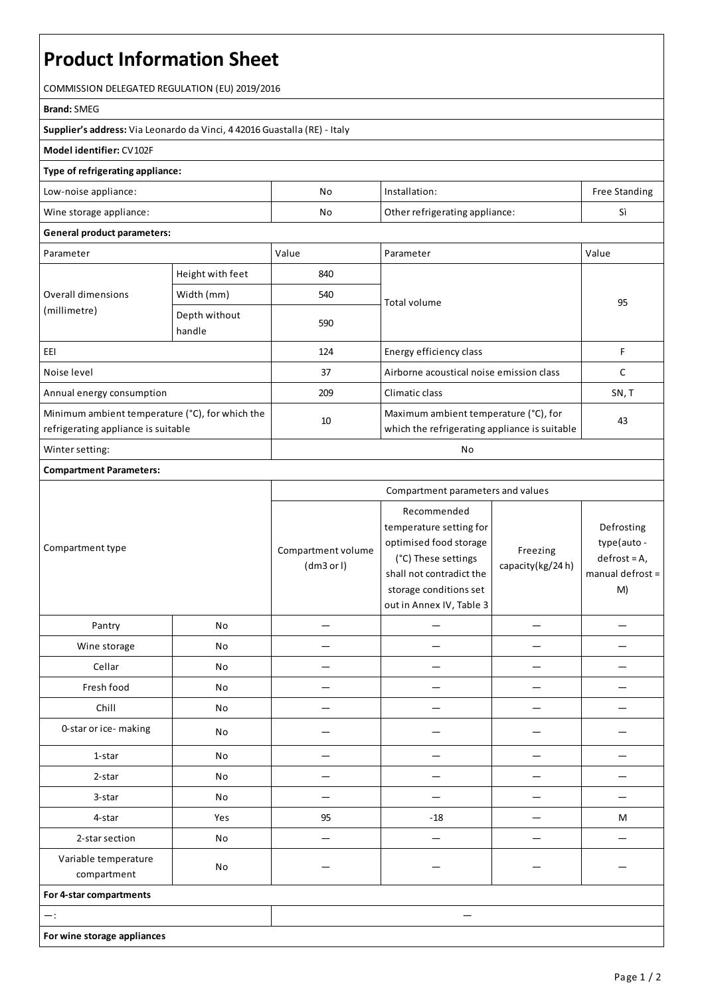# **Product Information Sheet**

COMMISSION DELEGATED REGULATION (EU) 2019/2016

#### **Brand:**SMEG

**Supplier's address:** ViaLeonardo da Vinci, 4 42016 Guastalla(RE) - Italy

#### **Model identifier:** CV102F

### **Type of refrigerating appliance:**

| Low-noise appliance:    | Νo                                   | Installation: | <b>Free Standing</b> |
|-------------------------|--------------------------------------|---------------|----------------------|
| Wine storage appliance: | Other refrigerating appliance:<br>No |               | È                    |

### **General product parameters:**

| Parameter                                                                              |                         | Value | Parameter                                                                              | Value |
|----------------------------------------------------------------------------------------|-------------------------|-------|----------------------------------------------------------------------------------------|-------|
| Overall dimensions<br>(millimetre)                                                     | Height with feet        | 840   |                                                                                        | 95    |
|                                                                                        | Width (mm)              | 540   | Total volume                                                                           |       |
|                                                                                        | Depth without<br>handle | 590   |                                                                                        |       |
| EEI                                                                                    |                         | 124   | Energy efficiency class                                                                | F     |
| Noise level                                                                            |                         | 37    | Airborne acoustical noise emission class                                               |       |
| Annual energy consumption                                                              |                         | 209   | Climatic class                                                                         | SN, T |
| Minimum ambient temperature (°C), for which the<br>refrigerating appliance is suitable |                         | 10    | Maximum ambient temperature (°C), for<br>which the refrigerating appliance is suitable | 43    |
| Winter setting:                                                                        |                         | No    |                                                                                        |       |

## **Compartment Parameters:**

| Compartment type                    |     | Compartment parameters and values |                                                                                                                                                                           |                              |                                                                        |
|-------------------------------------|-----|-----------------------------------|---------------------------------------------------------------------------------------------------------------------------------------------------------------------------|------------------------------|------------------------------------------------------------------------|
|                                     |     | Compartment volume<br>(dm3 or l)  | Recommended<br>temperature setting for<br>optimised food storage<br>(°C) These settings<br>shall not contradict the<br>storage conditions set<br>out in Annex IV, Table 3 | Freezing<br>capacity(kg/24h) | Defrosting<br>type(auto-<br>$defrost = A,$<br>manual defrost $=$<br>M) |
| Pantry                              | No  |                                   |                                                                                                                                                                           |                              |                                                                        |
| Wine storage                        | No  |                                   |                                                                                                                                                                           |                              |                                                                        |
| Cellar                              | No  |                                   |                                                                                                                                                                           |                              |                                                                        |
| Fresh food                          | No  |                                   |                                                                                                                                                                           |                              |                                                                        |
| Chill                               | No  |                                   |                                                                                                                                                                           |                              |                                                                        |
| 0-star or ice-making                | No  |                                   |                                                                                                                                                                           |                              |                                                                        |
| 1-star                              | No  |                                   |                                                                                                                                                                           |                              |                                                                        |
| 2-star                              | No  |                                   |                                                                                                                                                                           |                              |                                                                        |
| 3-star                              | No  |                                   |                                                                                                                                                                           |                              |                                                                        |
| 4-star                              | Yes | 95                                | $-18$                                                                                                                                                                     |                              | M                                                                      |
| 2-star section                      | No  |                                   |                                                                                                                                                                           |                              |                                                                        |
| Variable temperature<br>compartment | No  |                                   |                                                                                                                                                                           |                              |                                                                        |
| For 4-star compartments             |     |                                   |                                                                                                                                                                           |                              |                                                                        |
| $-$ :                               |     |                                   | —                                                                                                                                                                         |                              |                                                                        |
| For wine storage appliances         |     |                                   |                                                                                                                                                                           |                              |                                                                        |